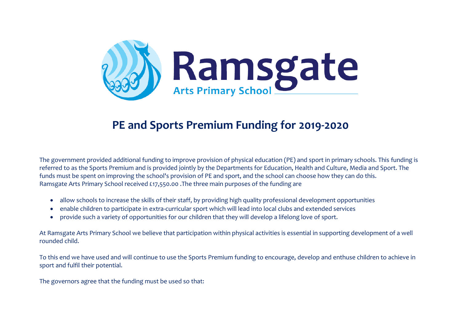

## **PE and Sports Premium Funding for 2019-2020**

The government provided additional funding to improve provision of physical education (PE) and sport in primary schools. This funding is referred to as the Sports Premium and is provided jointly by the Departments for Education, Health and Culture, Media and Sport. The funds must be spent on improving the school's provision of PE and sport, and the school can choose how they can do this. Ramsgate Arts Primary School received £17,550.00 .The three main purposes of the funding are

- allow schools to increase the skills of their staff, by providing high quality professional development opportunities
- enable children to participate in extra-curricular sport which will lead into local clubs and extended services
- provide such a variety of opportunities for our children that they will develop a lifelong love of sport.

At Ramsgate Arts Primary School we believe that participation within physical activities is essential in supporting development of a well rounded child.

To this end we have used and will continue to use the Sports Premium funding to encourage, develop and enthuse children to achieve in sport and fulfil their potential.

The governors agree that the funding must be used so that: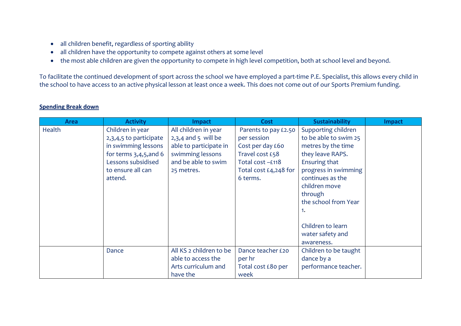- all children benefit, regardless of sporting ability
- all children have the opportunity to compete against others at some level
- the most able children are given the opportunity to compete in high level competition, both at school level and beyond.

To facilitate the continued development of sport across the school we have employed a part-time P.E. Specialist, this allows every child in the school to have access to an active physical lesson at least once a week. This does not come out of our Sports Premium funding.

| <b>Area</b> | <b>Activity</b>          | <b>Impact</b>           | <b>Cost</b>           | <b>Sustainability</b> | <b>Impact</b> |
|-------------|--------------------------|-------------------------|-----------------------|-----------------------|---------------|
| Health      | Children in year         | All children in year    | Parents to pay £2.50  | Supporting children   |               |
|             | 2,3,4,5 to participate   | $2,3,4$ and 5 will be   | per session           | to be able to swim 25 |               |
|             | in swimming lessons      | able to participate in  | Cost per day £60      | metres by the time    |               |
|             | for terms $3,4,5,$ and 6 | swimming lessons        | Travel cost £58       | they leave RAPS.      |               |
|             | Lessons subsidised       | and be able to swim     | Total cost -£118      | Ensuring that         |               |
|             | to ensure all can        | 25 metres.              | Total cost £4,248 for | progress in swimming  |               |
|             | attend.                  |                         | 6 terms.              | continues as the      |               |
|             |                          |                         |                       | children move         |               |
|             |                          |                         |                       | through               |               |
|             |                          |                         |                       | the school from Year  |               |
|             |                          |                         |                       | 1.                    |               |
|             |                          |                         |                       |                       |               |
|             |                          |                         |                       | Children to learn     |               |
|             |                          |                         |                       | water safety and      |               |
|             |                          |                         |                       | awareness.            |               |
|             | Dance                    | All KS 2 children to be | Dance teacher £20     | Children to be taught |               |
|             |                          | able to access the      | per hr                | dance by a            |               |
|             |                          | Arts curriculum and     | Total cost £80 per    | performance teacher.  |               |
|             |                          | have the                | week                  |                       |               |

## **Spending Break down**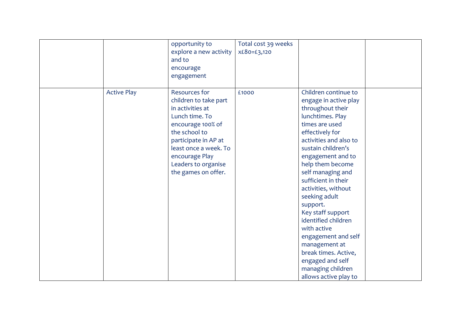|                    | opportunity to<br>explore a new activity<br>and to<br>encourage<br>engagement                                                                                                                                                              | Total cost 39 weeks<br>X£80=£3,120 |                                                                                                                                                                                                                                                                                                                                                                                                                                                                                                                  |  |
|--------------------|--------------------------------------------------------------------------------------------------------------------------------------------------------------------------------------------------------------------------------------------|------------------------------------|------------------------------------------------------------------------------------------------------------------------------------------------------------------------------------------------------------------------------------------------------------------------------------------------------------------------------------------------------------------------------------------------------------------------------------------------------------------------------------------------------------------|--|
| <b>Active Play</b> | <b>Resources for</b><br>children to take part<br>in activities at<br>Lunch time. To<br>encourage 100% of<br>the school to<br>participate in AP at<br>least once a week. To<br>encourage Play<br>Leaders to organise<br>the games on offer. | £1000                              | Children continue to<br>engage in active play<br>throughout their<br>lunchtimes. Play<br>times are used<br>effectively for<br>activities and also to<br>sustain children's<br>engagement and to<br>help them become<br>self managing and<br>sufficient in their<br>activities, without<br>seeking adult<br>support.<br>Key staff support<br>identified children<br>with active<br>engagement and self<br>management at<br>break times. Active,<br>engaged and self<br>managing children<br>allows active play to |  |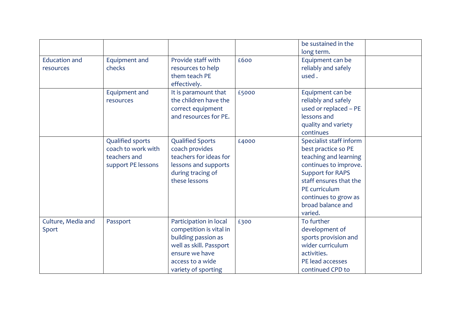|                      |                         |                         |       | be sustained in the<br>long term. |  |
|----------------------|-------------------------|-------------------------|-------|-----------------------------------|--|
| <b>Education and</b> | Equipment and           | Provide staff with      | £600  | Equipment can be                  |  |
| resources            | checks                  | resources to help       |       | reliably and safely               |  |
|                      |                         | them teach PE           |       | used.                             |  |
|                      |                         | effectively.            |       |                                   |  |
|                      | Equipment and           | It is paramount that    | £5000 | Equipment can be                  |  |
|                      | resources               | the children have the   |       | reliably and safely               |  |
|                      |                         | correct equipment       |       | used or replaced - PE             |  |
|                      |                         | and resources for PE.   |       | lessons and                       |  |
|                      |                         |                         |       | quality and variety               |  |
|                      |                         |                         |       | continues                         |  |
|                      | <b>Qualified sports</b> | <b>Qualified Sports</b> | £4000 | Specialist staff inform           |  |
|                      | coach to work with      | coach provides          |       | best practice so PE               |  |
|                      | teachers and            | teachers for ideas for  |       | teaching and learning             |  |
|                      | support PE lessons      | lessons and supports    |       | continues to improve.             |  |
|                      |                         | during tracing of       |       | <b>Support for RAPS</b>           |  |
|                      |                         | these lessons           |       | staff ensures that the            |  |
|                      |                         |                         |       | PE curriculum                     |  |
|                      |                         |                         |       | continues to grow as              |  |
|                      |                         |                         |       | broad balance and                 |  |
|                      |                         |                         |       | varied.                           |  |
| Culture, Media and   | Passport                | Participation in local  | £300  | To further                        |  |
| Sport                |                         | competition is vital in |       | development of                    |  |
|                      |                         | building passion as     |       | sports provision and              |  |
|                      |                         | well as skill. Passport |       | wider curriculum                  |  |
|                      |                         | ensure we have          |       | activities.                       |  |
|                      |                         | access to a wide        |       | PE lead accesses                  |  |
|                      |                         | variety of sporting     |       | continued CPD to                  |  |